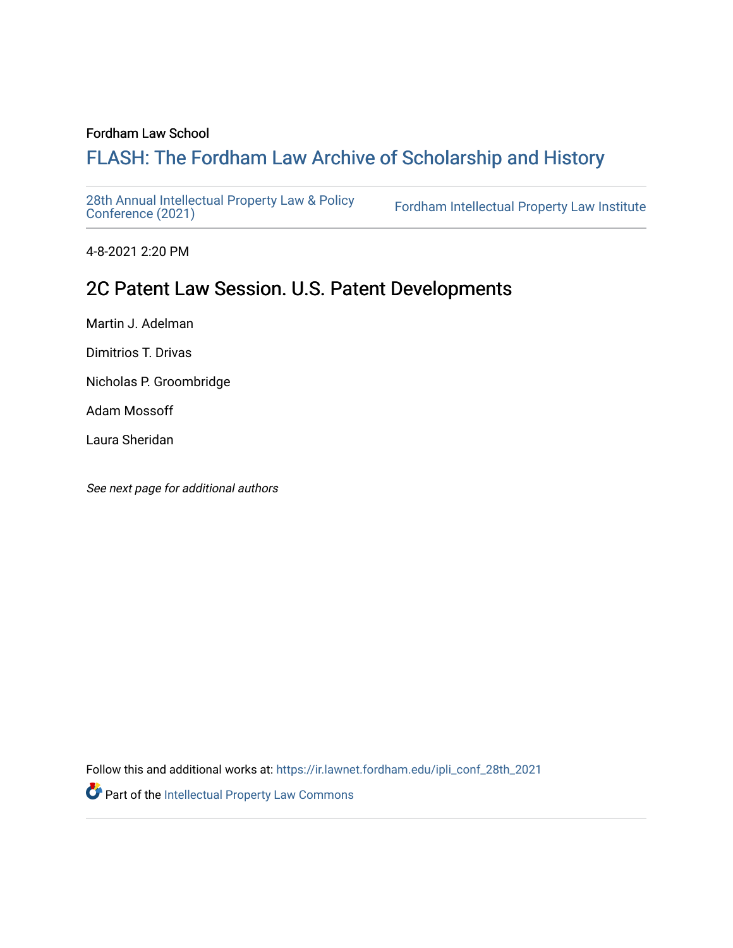#### Fordham Law School

# FLASH: The For[dham Law Archive of Scholarship and Hist](https://ir.lawnet.fordham.edu/)ory

[28th Annual Intellectual Property Law & Policy](https://ir.lawnet.fordham.edu/ipli_conf_28th_2021)<br>Conference (2021)

Fordham Intellectual Property Law Institute

4-8-2021 2:20 PM

# 2C Patent Law Session. U.S. Patent Developments

Martin J. Adelman

Dimitrios T. Drivas

Nicholas P. Groombridge

Adam Mossoff

Laura Sheridan

See next page for additional authors

Follow this and additional works at: [https://ir.lawnet.fordham.edu/ipli\\_conf\\_28th\\_2021](https://ir.lawnet.fordham.edu/ipli_conf_28th_2021?utm_source=ir.lawnet.fordham.edu%2Fipli_conf_28th_2021%2F6&utm_medium=PDF&utm_campaign=PDFCoverPages) 

Part of the [Intellectual Property Law Commons](http://network.bepress.com/hgg/discipline/896?utm_source=ir.lawnet.fordham.edu%2Fipli_conf_28th_2021%2F6&utm_medium=PDF&utm_campaign=PDFCoverPages)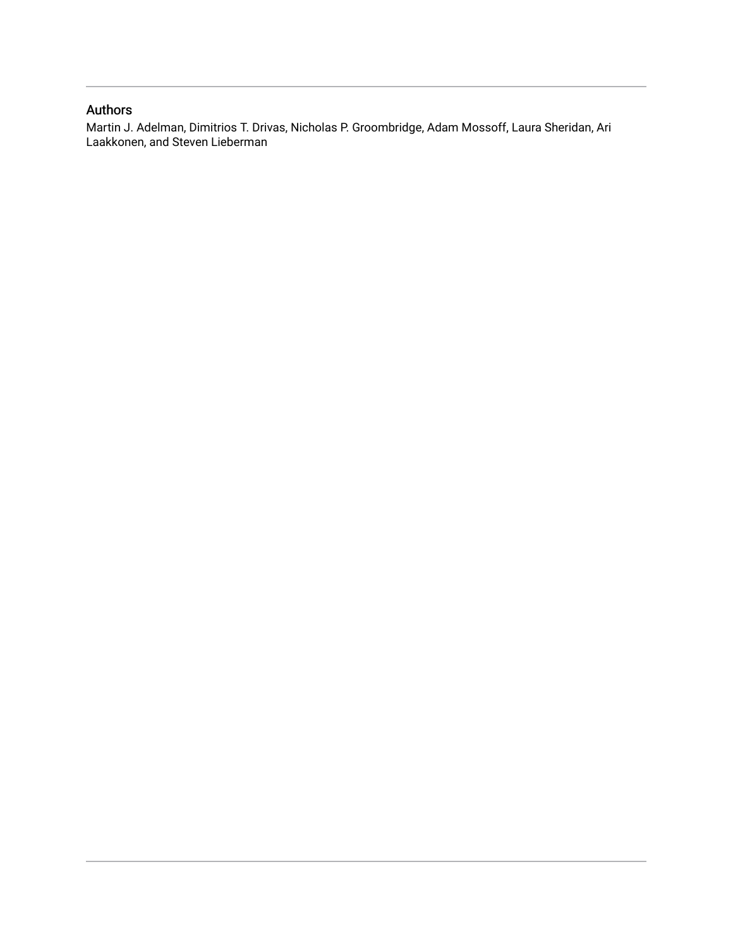### Authors

Martin J. Adelman, Dimitrios T. Drivas, Nicholas P. Groombridge, Adam Mossoff, Laura Sheridan, Ari Laakkonen, and Steven Lieberman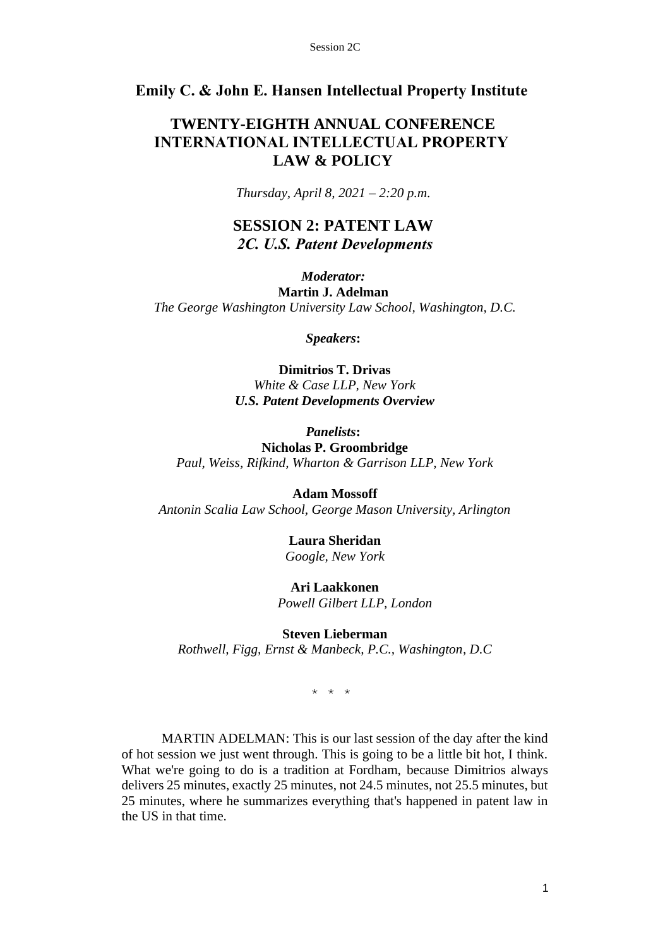### **Emily C. & John E. Hansen Intellectual Property Institute**

## **TWENTY-EIGHTH ANNUAL CONFERENCE INTERNATIONAL INTELLECTUAL PROPERTY  LAW & POLICY**

*Thursday, April 8, 2021 – 2:20 p.m.*

## **SESSION 2: PATENT LAW** *2C. U.S. Patent Developments*

*Moderator:* **Martin J. Adelman** *The George Washington University Law School, Washington, D.C.*

*Speakers***:**

**Dimitrios T. Drivas** *White & Case LLP, New York U.S. Patent Developments Overview*

*Panelists***: Nicholas P. Groombridge** *Paul, Weiss, Rifkind, Wharton & Garrison LLP, New York*

**Adam Mossoff** *Antonin Scalia Law School, George Mason University, Arlington*

> **Laura Sheridan** *Google, New York*

**Ari Laakkonen**  *Powell Gilbert LLP, London*

**Steven Lieberman** 

*Rothwell, Figg, Ernst & Manbeck, P.C., Washington, D.C*

\* \* \*

MARTIN ADELMAN: This is our last session of the day after the kind of hot session we just went through. This is going to be a little bit hot, I think. What we're going to do is a tradition at Fordham, because Dimitrios always delivers 25 minutes, exactly 25 minutes, not 24.5 minutes, not 25.5 minutes, but 25 minutes, where he summarizes everything that's happened in patent law in the US in that time.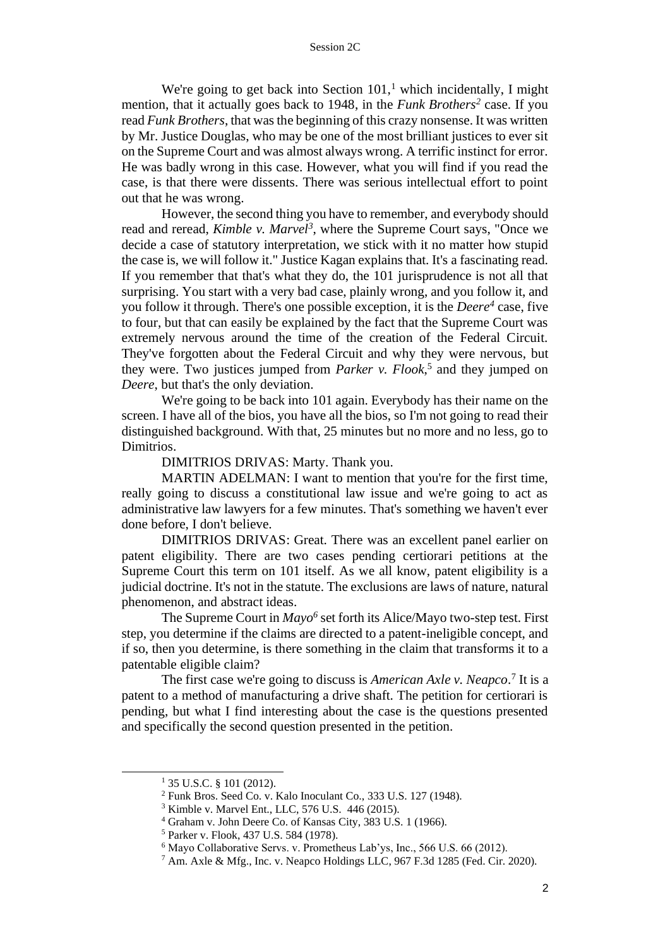We're going to get back into Section  $101<sup>1</sup>$  which incidentally, I might mention, that it actually goes back to 1948, in the *Funk Brothers<sup>2</sup>* case. If you read *Funk Brothers*, that was the beginning of this crazy nonsense. It was written by Mr. Justice Douglas, who may be one of the most brilliant justices to ever sit on the Supreme Court and was almost always wrong. A terrific instinct for error. He was badly wrong in this case. However, what you will find if you read the case, is that there were dissents. There was serious intellectual effort to point out that he was wrong.

However, the second thing you have to remember, and everybody should read and reread, *Kimble v. Marvel<sup>3</sup>*, where the Supreme Court says, "Once we decide a case of statutory interpretation, we stick with it no matter how stupid the case is, we will follow it." Justice Kagan explains that. It's a fascinating read. If you remember that that's what they do, the 101 jurisprudence is not all that surprising. You start with a very bad case, plainly wrong, and you follow it, and you follow it through. There's one possible exception, it is the *Deere<sup>4</sup>* case, five to four, but that can easily be explained by the fact that the Supreme Court was extremely nervous around the time of the creation of the Federal Circuit. They've forgotten about the Federal Circuit and why they were nervous, but they were. Two justices jumped from *Parker v. Flook*, 5 and they jumped on *Deere*, but that's the only deviation.

We're going to be back into 101 again. Everybody has their name on the screen. I have all of the bios, you have all the bios, so I'm not going to read their distinguished background. With that, 25 minutes but no more and no less, go to Dimitrios.

DIMITRIOS DRIVAS: Marty. Thank you.

MARTIN ADELMAN: I want to mention that you're for the first time, really going to discuss a constitutional law issue and we're going to act as administrative law lawyers for a few minutes. That's something we haven't ever done before, I don't believe.

DIMITRIOS DRIVAS: Great. There was an excellent panel earlier on patent eligibility. There are two cases pending certiorari petitions at the Supreme Court this term on 101 itself. As we all know, patent eligibility is a judicial doctrine. It's not in the statute. The exclusions are laws of nature, natural phenomenon, and abstract ideas.

The Supreme Court in *Mayo<sup>6</sup>* set forth its Alice/Mayo two-step test. First step, you determine if the claims are directed to a patent-ineligible concept, and if so, then you determine, is there something in the claim that transforms it to a patentable eligible claim?

The first case we're going to discuss is *American Axle v. Neapco*.<sup>7</sup> It is a patent to a method of manufacturing a drive shaft. The petition for certiorari is pending, but what I find interesting about the case is the questions presented and specifically the second question presented in the petition.

<sup>&</sup>lt;sup>1</sup> 35 U.S.C. § 101 (2012).

<sup>2</sup> Funk Bros. Seed Co. v. Kalo Inoculant Co., 333 U.S. 127 (1948).

<sup>3</sup> Kimble v. Marvel Ent., LLC, 576 U.S. 446 (2015).

<sup>4</sup> Graham v. John Deere Co. of Kansas City, 383 U.S. 1 (1966).

<sup>5</sup> Parker v. Flook, 437 U.S. 584 (1978).

<sup>6</sup> Mayo Collaborative Servs. v. Prometheus Lab'ys, Inc., 566 U.S. 66 (2012).

<sup>7</sup> Am. Axle & Mfg., Inc. v. Neapco Holdings LLC, 967 F.3d 1285 (Fed. Cir. 2020).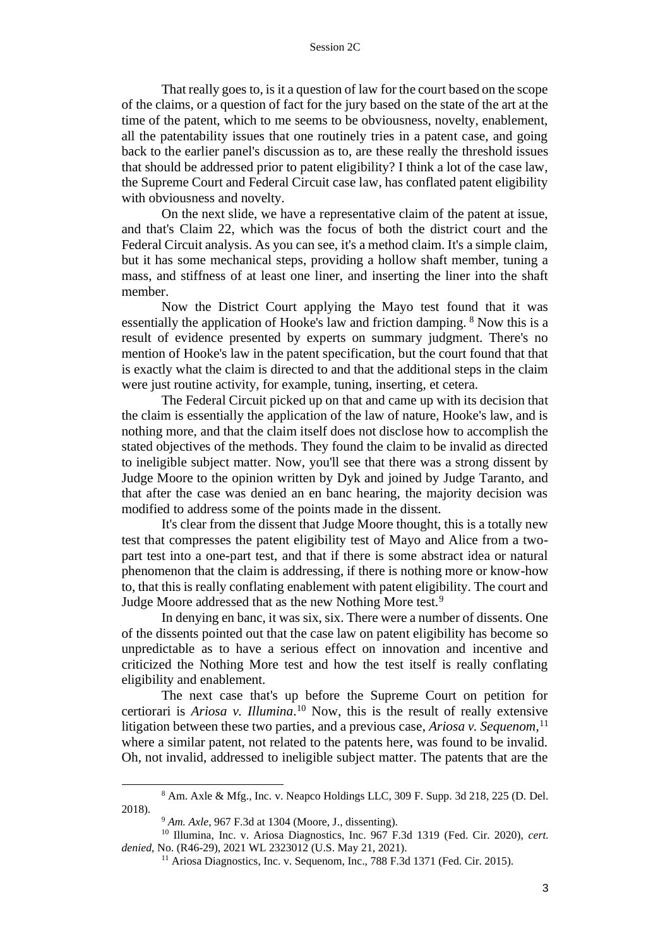That really goes to, is it a question of law for the court based on the scope of the claims, or a question of fact for the jury based on the state of the art at the time of the patent, which to me seems to be obviousness, novelty, enablement, all the patentability issues that one routinely tries in a patent case, and going back to the earlier panel's discussion as to, are these really the threshold issues that should be addressed prior to patent eligibility? I think a lot of the case law, the Supreme Court and Federal Circuit case law, has conflated patent eligibility with obviousness and novelty.

On the next slide, we have a representative claim of the patent at issue, and that's Claim 22, which was the focus of both the district court and the Federal Circuit analysis. As you can see, it's a method claim. It's a simple claim, but it has some mechanical steps, providing a hollow shaft member, tuning a mass, and stiffness of at least one liner, and inserting the liner into the shaft member.

Now the District Court applying the Mayo test found that it was essentially the application of Hooke's law and friction damping. <sup>8</sup> Now this is a result of evidence presented by experts on summary judgment. There's no mention of Hooke's law in the patent specification, but the court found that that is exactly what the claim is directed to and that the additional steps in the claim were just routine activity, for example, tuning, inserting, et cetera.

The Federal Circuit picked up on that and came up with its decision that the claim is essentially the application of the law of nature, Hooke's law, and is nothing more, and that the claim itself does not disclose how to accomplish the stated objectives of the methods. They found the claim to be invalid as directed to ineligible subject matter. Now, you'll see that there was a strong dissent by Judge Moore to the opinion written by Dyk and joined by Judge Taranto, and that after the case was denied an en banc hearing, the majority decision was modified to address some of the points made in the dissent.

It's clear from the dissent that Judge Moore thought, this is a totally new test that compresses the patent eligibility test of Mayo and Alice from a twopart test into a one-part test, and that if there is some abstract idea or natural phenomenon that the claim is addressing, if there is nothing more or know-how to, that this is really conflating enablement with patent eligibility. The court and Judge Moore addressed that as the new Nothing More test.<sup>9</sup>

In denying en banc, it was six, six. There were a number of dissents. One of the dissents pointed out that the case law on patent eligibility has become so unpredictable as to have a serious effect on innovation and incentive and criticized the Nothing More test and how the test itself is really conflating eligibility and enablement.

The next case that's up before the Supreme Court on petition for certiorari is *Ariosa v. Illumina*. <sup>10</sup> Now, this is the result of really extensive litigation between these two parties, and a previous case, *Ariosa v. Sequenom*, 11 where a similar patent, not related to the patents here, was found to be invalid. Oh, not invalid, addressed to ineligible subject matter. The patents that are the

<sup>8</sup> Am. Axle & Mfg., Inc. v. Neapco Holdings LLC, 309 F. Supp. 3d 218, 225 (D. Del. 2018).

<sup>9</sup> *Am. Axle*, 967 F.3d at 1304 (Moore, J., dissenting).

<sup>&</sup>lt;sup>10</sup> Illumina, Inc. v. Ariosa Diagnostics, Inc. 967 F.3d 1319 (Fed. Cir. 2020), cert. *denied*, No. (R46-29), 2021 WL 2323012 (U.S. May 21, 2021).

<sup>&</sup>lt;sup>11</sup> Ariosa Diagnostics, Inc. v. Sequenom, Inc., 788 F.3d 1371 (Fed. Cir. 2015).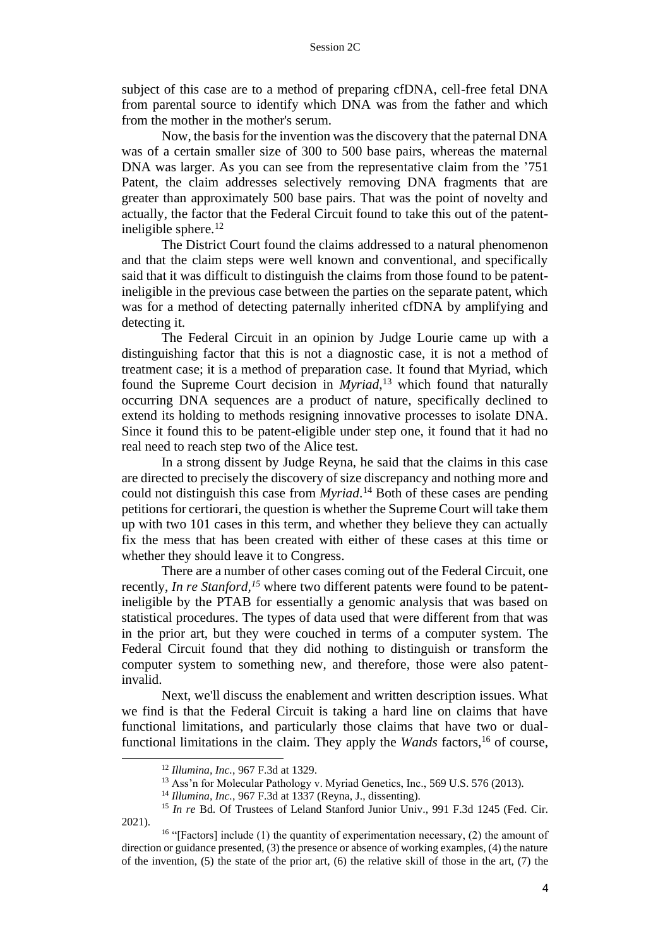subject of this case are to a method of preparing cfDNA, cell-free fetal DNA from parental source to identify which DNA was from the father and which from the mother in the mother's serum.

Now, the basis for the invention was the discovery that the paternal DNA was of a certain smaller size of 300 to 500 base pairs, whereas the maternal DNA was larger. As you can see from the representative claim from the '751 Patent, the claim addresses selectively removing DNA fragments that are greater than approximately 500 base pairs. That was the point of novelty and actually, the factor that the Federal Circuit found to take this out of the patentineligible sphere. $12$ 

The District Court found the claims addressed to a natural phenomenon and that the claim steps were well known and conventional, and specifically said that it was difficult to distinguish the claims from those found to be patentineligible in the previous case between the parties on the separate patent, which was for a method of detecting paternally inherited cfDNA by amplifying and detecting it.

The Federal Circuit in an opinion by Judge Lourie came up with a distinguishing factor that this is not a diagnostic case, it is not a method of treatment case; it is a method of preparation case. It found that Myriad, which found the Supreme Court decision in *Myriad*, <sup>13</sup> which found that naturally occurring DNA sequences are a product of nature, specifically declined to extend its holding to methods resigning innovative processes to isolate DNA. Since it found this to be patent-eligible under step one, it found that it had no real need to reach step two of the Alice test.

In a strong dissent by Judge Reyna, he said that the claims in this case are directed to precisely the discovery of size discrepancy and nothing more and could not distinguish this case from *Myriad*. <sup>14</sup> Both of these cases are pending petitions for certiorari, the question is whether the Supreme Court will take them up with two 101 cases in this term, and whether they believe they can actually fix the mess that has been created with either of these cases at this time or whether they should leave it to Congress.

There are a number of other cases coming out of the Federal Circuit, one recently, *In re Stanford*,<sup>15</sup> where two different patents were found to be patentineligible by the PTAB for essentially a genomic analysis that was based on statistical procedures. The types of data used that were different from that was in the prior art, but they were couched in terms of a computer system. The Federal Circuit found that they did nothing to distinguish or transform the computer system to something new, and therefore, those were also patentinvalid.

Next, we'll discuss the enablement and written description issues. What we find is that the Federal Circuit is taking a hard line on claims that have functional limitations, and particularly those claims that have two or dualfunctional limitations in the claim. They apply the *Wands* factors,<sup>16</sup> of course,

<sup>12</sup> *Illumina, Inc.*, 967 F.3d at 1329.

<sup>&</sup>lt;sup>13</sup> Ass'n for Molecular Pathology v. Myriad Genetics, Inc., 569 U.S. 576 (2013).

<sup>14</sup> *Illumina, Inc.*, 967 F.3d at 1337 (Reyna, J., dissenting).

<sup>&</sup>lt;sup>15</sup> *In re* Bd. Of Trustees of Leland Stanford Junior Univ., 991 F.3d 1245 (Fed. Cir. 2021).

<sup>&</sup>lt;sup>16</sup> "[Factors] include (1) the quantity of experimentation necessary, (2) the amount of direction or guidance presented, (3) the presence or absence of working examples, (4) the nature of the invention,  $(5)$  the state of the prior art,  $(6)$  the relative skill of those in the art,  $(7)$  the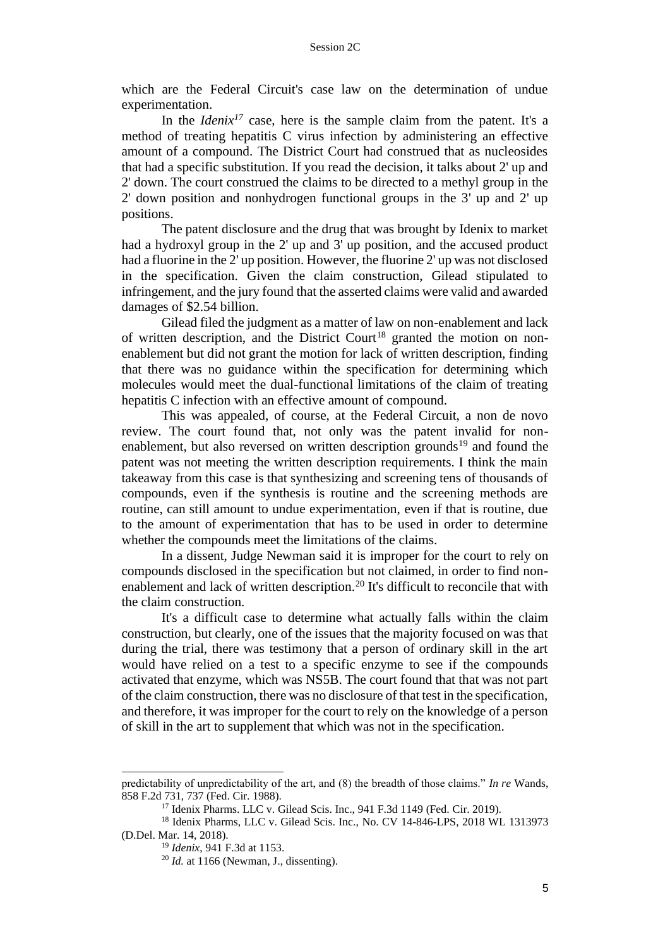which are the Federal Circuit's case law on the determination of undue experimentation.

In the *Idenix<sup>17</sup>* case, here is the sample claim from the patent. It's a method of treating hepatitis C virus infection by administering an effective amount of a compound. The District Court had construed that as nucleosides that had a specific substitution. If you read the decision, it talks about 2' up and 2' down. The court construed the claims to be directed to a methyl group in the 2' down position and nonhydrogen functional groups in the 3' up and 2' up positions.

The patent disclosure and the drug that was brought by Idenix to market had a hydroxyl group in the 2' up and 3' up position, and the accused product had a fluorine in the 2' up position. However, the fluorine 2' up was not disclosed in the specification. Given the claim construction, Gilead stipulated to infringement, and the jury found that the asserted claims were valid and awarded damages of \$2.54 billion.

Gilead filed the judgment as a matter of law on non-enablement and lack of written description, and the District Court<sup>18</sup> granted the motion on nonenablement but did not grant the motion for lack of written description, finding that there was no guidance within the specification for determining which molecules would meet the dual-functional limitations of the claim of treating hepatitis C infection with an effective amount of compound.

This was appealed, of course, at the Federal Circuit, a non de novo review. The court found that, not only was the patent invalid for nonenablement, but also reversed on written description grounds<sup>19</sup> and found the patent was not meeting the written description requirements. I think the main takeaway from this case is that synthesizing and screening tens of thousands of compounds, even if the synthesis is routine and the screening methods are routine, can still amount to undue experimentation, even if that is routine, due to the amount of experimentation that has to be used in order to determine whether the compounds meet the limitations of the claims.

In a dissent, Judge Newman said it is improper for the court to rely on compounds disclosed in the specification but not claimed, in order to find nonenablement and lack of written description.<sup>20</sup> It's difficult to reconcile that with the claim construction.

It's a difficult case to determine what actually falls within the claim construction, but clearly, one of the issues that the majority focused on was that during the trial, there was testimony that a person of ordinary skill in the art would have relied on a test to a specific enzyme to see if the compounds activated that enzyme, which was NS5B. The court found that that was not part of the claim construction, there was no disclosure of that test in the specification, and therefore, it was improper for the court to rely on the knowledge of a person of skill in the art to supplement that which was not in the specification.

predictability of unpredictability of the art, and (8) the breadth of those claims." *In re* Wands, 858 F.2d 731, 737 (Fed. Cir. 1988).

<sup>17</sup> Idenix Pharms. LLC v. Gilead Scis. Inc., 941 F.3d 1149 (Fed. Cir. 2019).

<sup>18</sup> Idenix Pharms, LLC v. Gilead Scis. Inc., No. CV 14-846-LPS, 2018 WL 1313973 (D.Del. Mar. 14, 2018).

<sup>19</sup> *Idenix*, 941 F.3d at 1153.

 $20$  *Id.* at 1166 (Newman, J., dissenting).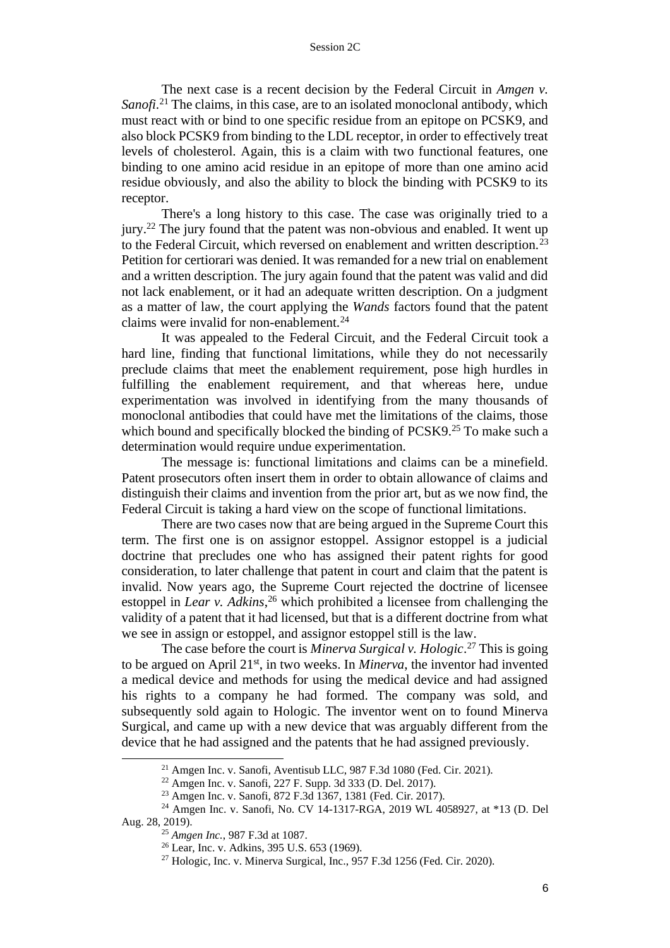The next case is a recent decision by the Federal Circuit in *Amgen v.*  Sanofi<sup>21</sup> The claims, in this case, are to an isolated monoclonal antibody, which must react with or bind to one specific residue from an epitope on PCSK9, and also block PCSK9 from binding to the LDL receptor, in order to effectively treat levels of cholesterol. Again, this is a claim with two functional features, one binding to one amino acid residue in an epitope of more than one amino acid residue obviously, and also the ability to block the binding with PCSK9 to its receptor.

There's a long history to this case. The case was originally tried to a jury.<sup>22</sup> The jury found that the patent was non-obvious and enabled. It went up to the Federal Circuit, which reversed on enablement and written description.<sup>23</sup> Petition for certiorari was denied. It was remanded for a new trial on enablement and a written description. The jury again found that the patent was valid and did not lack enablement, or it had an adequate written description. On a judgment as a matter of law, the court applying the *Wands* factors found that the patent claims were invalid for non-enablement.<sup>24</sup>

It was appealed to the Federal Circuit, and the Federal Circuit took a hard line, finding that functional limitations, while they do not necessarily preclude claims that meet the enablement requirement, pose high hurdles in fulfilling the enablement requirement, and that whereas here, undue experimentation was involved in identifying from the many thousands of monoclonal antibodies that could have met the limitations of the claims, those which bound and specifically blocked the binding of PCSK9.<sup>25</sup> To make such a determination would require undue experimentation.

The message is: functional limitations and claims can be a minefield. Patent prosecutors often insert them in order to obtain allowance of claims and distinguish their claims and invention from the prior art, but as we now find, the Federal Circuit is taking a hard view on the scope of functional limitations.

There are two cases now that are being argued in the Supreme Court this term. The first one is on assignor estoppel. Assignor estoppel is a judicial doctrine that precludes one who has assigned their patent rights for good consideration, to later challenge that patent in court and claim that the patent is invalid. Now years ago, the Supreme Court rejected the doctrine of licensee estoppel in *Lear v. Adkins*, <sup>26</sup> which prohibited a licensee from challenging the validity of a patent that it had licensed, but that is a different doctrine from what we see in assign or estoppel, and assignor estoppel still is the law.

The case before the court is *Minerva Surgical v. Hologic*. <sup>27</sup> This is going to be argued on April 21<sup>st</sup>, in two weeks. In *Minerva*, the inventor had invented a medical device and methods for using the medical device and had assigned his rights to a company he had formed. The company was sold, and subsequently sold again to Hologic. The inventor went on to found Minerva Surgical, and came up with a new device that was arguably different from the device that he had assigned and the patents that he had assigned previously.

 $21$  Amgen Inc. v. Sanofi, Aventisub LLC, 987 F.3d 1080 (Fed. Cir. 2021).

<sup>22</sup> Amgen Inc. v. Sanofi, 227 F. Supp. 3d 333 (D. Del. 2017).

<sup>23</sup> Amgen Inc. v. Sanofi, 872 F.3d 1367, 1381 (Fed. Cir. 2017).

<sup>24</sup> Amgen Inc. v. Sanofi, No. CV 14-1317-RGA, 2019 WL 4058927, at \*13 (D. Del Aug. 28, 2019).

<sup>25</sup> *Amgen Inc.*, 987 F.3d at 1087.

<sup>26</sup> Lear, Inc. v. Adkins, 395 U.S. 653 (1969).

 $27$  Hologic, Inc. v. Minerva Surgical, Inc., 957 F.3d 1256 (Fed. Cir. 2020).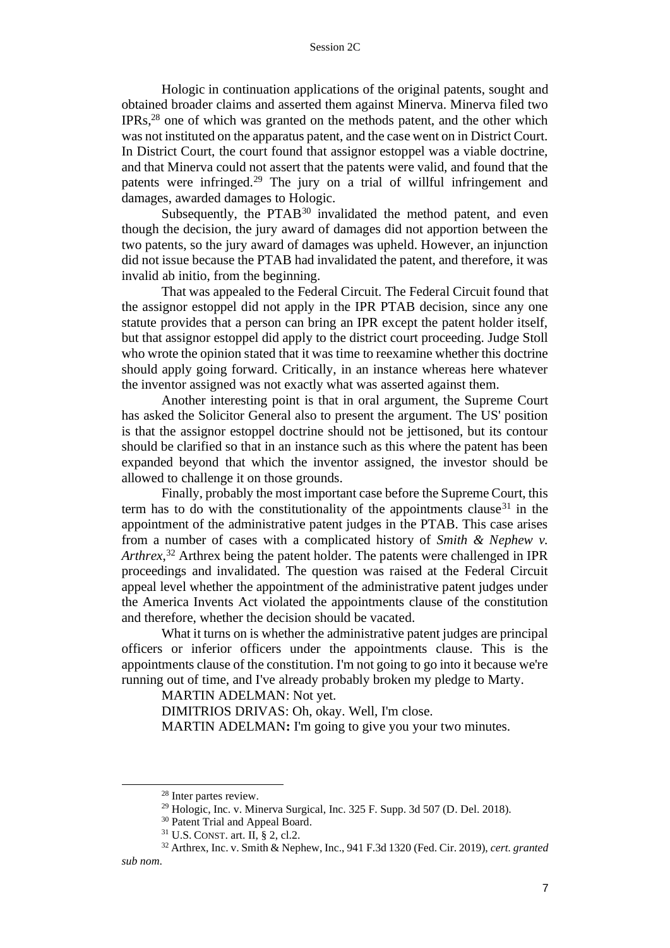#### Session 2C

Hologic in continuation applications of the original patents, sought and obtained broader claims and asserted them against Minerva. Minerva filed two IPRs,<sup>28</sup> one of which was granted on the methods patent, and the other which was not instituted on the apparatus patent, and the case went on in District Court. In District Court, the court found that assignor estoppel was a viable doctrine, and that Minerva could not assert that the patents were valid, and found that the patents were infringed.<sup>29</sup> The jury on a trial of willful infringement and damages, awarded damages to Hologic.

Subsequently, the  $PTAB^{30}$  invalidated the method patent, and even though the decision, the jury award of damages did not apportion between the two patents, so the jury award of damages was upheld. However, an injunction did not issue because the PTAB had invalidated the patent, and therefore, it was invalid ab initio, from the beginning.

That was appealed to the Federal Circuit. The Federal Circuit found that the assignor estoppel did not apply in the IPR PTAB decision, since any one statute provides that a person can bring an IPR except the patent holder itself, but that assignor estoppel did apply to the district court proceeding. Judge Stoll who wrote the opinion stated that it was time to reexamine whether this doctrine should apply going forward. Critically, in an instance whereas here whatever the inventor assigned was not exactly what was asserted against them.

Another interesting point is that in oral argument, the Supreme Court has asked the Solicitor General also to present the argument. The US' position is that the assignor estoppel doctrine should not be jettisoned, but its contour should be clarified so that in an instance such as this where the patent has been expanded beyond that which the inventor assigned, the investor should be allowed to challenge it on those grounds.

Finally, probably the most important case before the Supreme Court, this term has to do with the constitutionality of the appointments clause  $31$  in the appointment of the administrative patent judges in the PTAB. This case arises from a number of cases with a complicated history of *Smith & Nephew v. Arthrex*, <sup>32</sup> Arthrex being the patent holder. The patents were challenged in IPR proceedings and invalidated. The question was raised at the Federal Circuit appeal level whether the appointment of the administrative patent judges under the America Invents Act violated the appointments clause of the constitution and therefore, whether the decision should be vacated.

What it turns on is whether the administrative patent judges are principal officers or inferior officers under the appointments clause. This is the appointments clause of the constitution. I'm not going to go into it because we're running out of time, and I've already probably broken my pledge to Marty.

MARTIN ADELMAN: Not yet.

DIMITRIOS DRIVAS: Oh, okay. Well, I'm close.

MARTIN ADELMAN**:** I'm going to give you your two minutes.

<sup>28</sup> Inter partes review.

 $29$  Hologic, Inc. v. Minerva Surgical, Inc. 325 F. Supp. 3d 507 (D. Del. 2018).

<sup>&</sup>lt;sup>30</sup> Patent Trial and Appeal Board.

<sup>31</sup> U.S. CONST. art. II, § 2, cl.2.

<sup>32</sup> Arthrex, Inc. v. Smith & Nephew, Inc., 941 F.3d 1320 (Fed. Cir. 2019), *cert. granted sub nom*.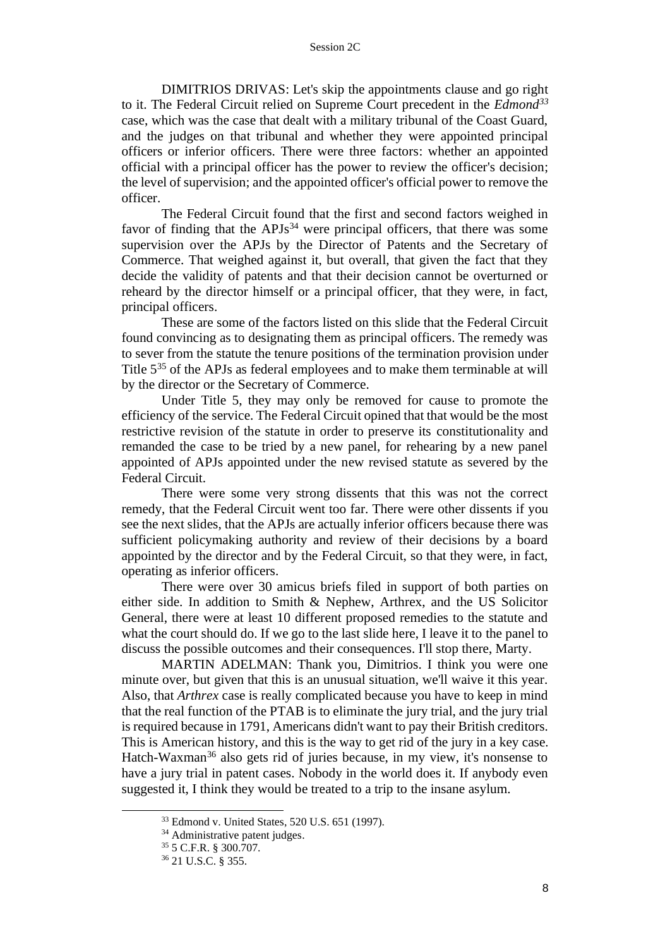DIMITRIOS DRIVAS: Let's skip the appointments clause and go right to it. The Federal Circuit relied on Supreme Court precedent in the *Edmond<sup>33</sup>* case, which was the case that dealt with a military tribunal of the Coast Guard, and the judges on that tribunal and whether they were appointed principal officers or inferior officers. There were three factors: whether an appointed official with a principal officer has the power to review the officer's decision; the level of supervision; and the appointed officer's official power to remove the officer.

The Federal Circuit found that the first and second factors weighed in favor of finding that the  $APJs^{34}$  were principal officers, that there was some supervision over the APJs by the Director of Patents and the Secretary of Commerce. That weighed against it, but overall, that given the fact that they decide the validity of patents and that their decision cannot be overturned or reheard by the director himself or a principal officer, that they were, in fact, principal officers.

These are some of the factors listed on this slide that the Federal Circuit found convincing as to designating them as principal officers. The remedy was to sever from the statute the tenure positions of the termination provision under Title 5<sup>35</sup> of the APJs as federal employees and to make them terminable at will by the director or the Secretary of Commerce.

Under Title 5, they may only be removed for cause to promote the efficiency of the service. The Federal Circuit opined that that would be the most restrictive revision of the statute in order to preserve its constitutionality and remanded the case to be tried by a new panel, for rehearing by a new panel appointed of APJs appointed under the new revised statute as severed by the Federal Circuit.

There were some very strong dissents that this was not the correct remedy, that the Federal Circuit went too far. There were other dissents if you see the next slides, that the APJs are actually inferior officers because there was sufficient policymaking authority and review of their decisions by a board appointed by the director and by the Federal Circuit, so that they were, in fact, operating as inferior officers.

There were over 30 amicus briefs filed in support of both parties on either side. In addition to Smith & Nephew, Arthrex, and the US Solicitor General, there were at least 10 different proposed remedies to the statute and what the court should do. If we go to the last slide here, I leave it to the panel to discuss the possible outcomes and their consequences. I'll stop there, Marty.

MARTIN ADELMAN: Thank you, Dimitrios. I think you were one minute over, but given that this is an unusual situation, we'll waive it this year. Also, that *Arthrex* case is really complicated because you have to keep in mind that the real function of the PTAB is to eliminate the jury trial, and the jury trial is required because in 1791, Americans didn't want to pay their British creditors. This is American history, and this is the way to get rid of the jury in a key case. Hatch-Waxman<sup>36</sup> also gets rid of juries because, in my view, it's nonsense to have a jury trial in patent cases. Nobody in the world does it. If anybody even suggested it, I think they would be treated to a trip to the insane asylum.

<sup>33</sup> Edmond v. United States, 520 U.S. 651 (1997).

<sup>&</sup>lt;sup>34</sup> Administrative patent judges.

<sup>35</sup> 5 C.F.R. § 300.707.

<sup>36</sup> 21 U.S.C. § 355.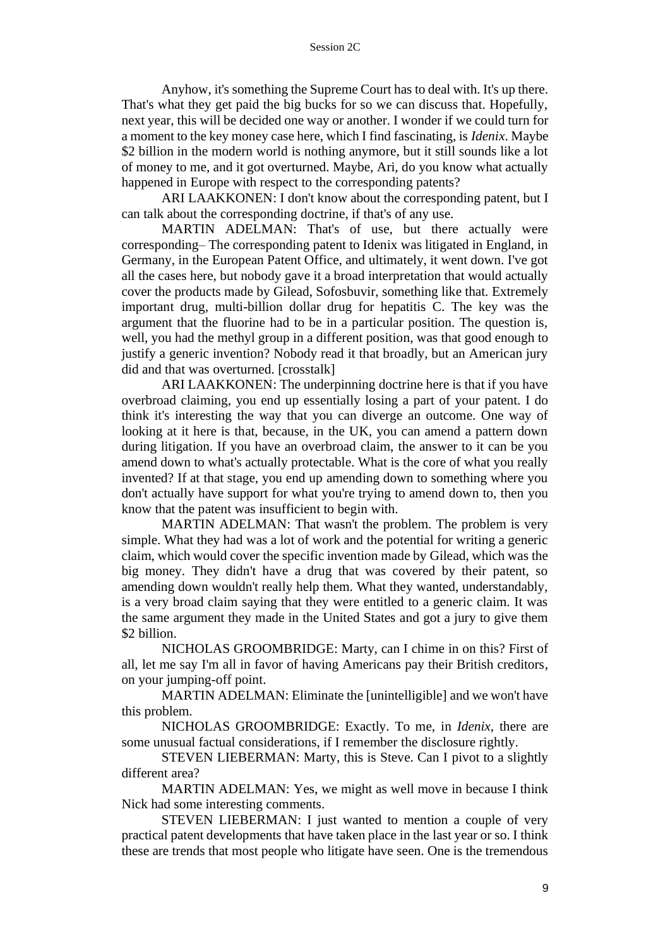#### Session 2C

Anyhow, it's something the Supreme Court has to deal with. It's up there. That's what they get paid the big bucks for so we can discuss that. Hopefully, next year, this will be decided one way or another. I wonder if we could turn for a moment to the key money case here, which I find fascinating, is *Idenix*. Maybe \$2 billion in the modern world is nothing anymore, but it still sounds like a lot of money to me, and it got overturned. Maybe, Ari, do you know what actually happened in Europe with respect to the corresponding patents?

ARI LAAKKONEN: I don't know about the corresponding patent, but I can talk about the corresponding doctrine, if that's of any use.

MARTIN ADELMAN: That's of use, but there actually were corresponding– The corresponding patent to Idenix was litigated in England, in Germany, in the European Patent Office, and ultimately, it went down. I've got all the cases here, but nobody gave it a broad interpretation that would actually cover the products made by Gilead, Sofosbuvir, something like that. Extremely important drug, multi-billion dollar drug for hepatitis C. The key was the argument that the fluorine had to be in a particular position. The question is, well, you had the methyl group in a different position, was that good enough to justify a generic invention? Nobody read it that broadly, but an American jury did and that was overturned. [crosstalk]

ARI LAAKKONEN: The underpinning doctrine here is that if you have overbroad claiming, you end up essentially losing a part of your patent. I do think it's interesting the way that you can diverge an outcome. One way of looking at it here is that, because, in the UK, you can amend a pattern down during litigation. If you have an overbroad claim, the answer to it can be you amend down to what's actually protectable. What is the core of what you really invented? If at that stage, you end up amending down to something where you don't actually have support for what you're trying to amend down to, then you know that the patent was insufficient to begin with.

MARTIN ADELMAN: That wasn't the problem. The problem is very simple. What they had was a lot of work and the potential for writing a generic claim, which would cover the specific invention made by Gilead, which was the big money. They didn't have a drug that was covered by their patent, so amending down wouldn't really help them. What they wanted, understandably, is a very broad claim saying that they were entitled to a generic claim. It was the same argument they made in the United States and got a jury to give them \$2 billion.

NICHOLAS GROOMBRIDGE: Marty, can I chime in on this? First of all, let me say I'm all in favor of having Americans pay their British creditors, on your jumping-off point.

MARTIN ADELMAN: Eliminate the [unintelligible] and we won't have this problem.

NICHOLAS GROOMBRIDGE: Exactly. To me, in *Idenix*, there are some unusual factual considerations, if I remember the disclosure rightly.

STEVEN LIEBERMAN: Marty, this is Steve. Can I pivot to a slightly different area?

MARTIN ADELMAN: Yes, we might as well move in because I think Nick had some interesting comments.

STEVEN LIEBERMAN: I just wanted to mention a couple of very practical patent developments that have taken place in the last year or so. I think these are trends that most people who litigate have seen. One is the tremendous

9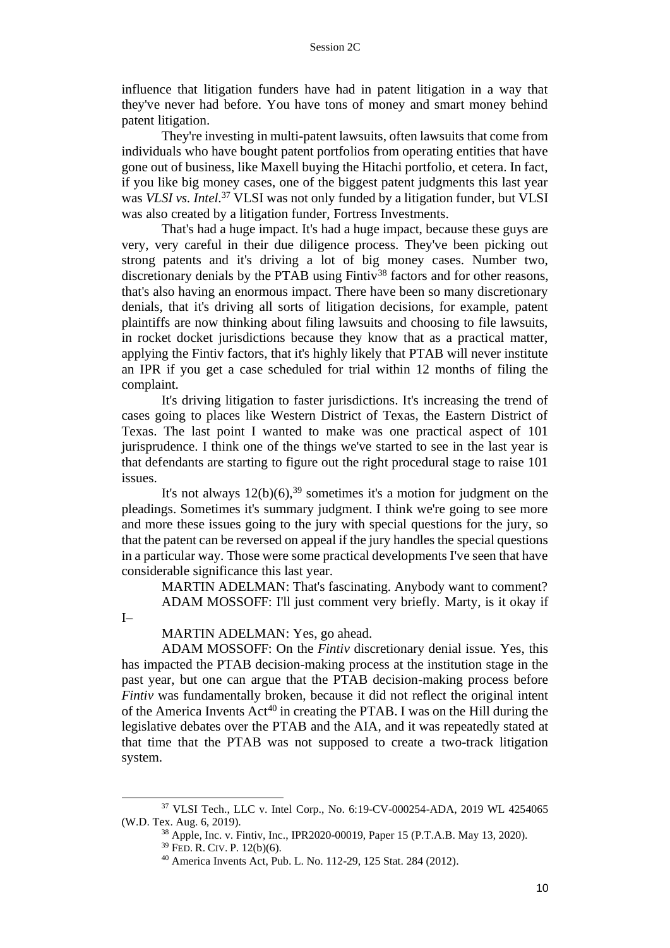influence that litigation funders have had in patent litigation in a way that they've never had before. You have tons of money and smart money behind patent litigation.

They're investing in multi-patent lawsuits, often lawsuits that come from individuals who have bought patent portfolios from operating entities that have gone out of business, like Maxell buying the Hitachi portfolio, et cetera. In fact, if you like big money cases, one of the biggest patent judgments this last year was *VLSI vs. Intel*. <sup>37</sup> VLSI was not only funded by a litigation funder, but VLSI was also created by a litigation funder, Fortress Investments.

That's had a huge impact. It's had a huge impact, because these guys are very, very careful in their due diligence process. They've been picking out strong patents and it's driving a lot of big money cases. Number two, discretionary denials by the PTAB using  $\text{Fintiv}^{38}$  factors and for other reasons, that's also having an enormous impact. There have been so many discretionary denials, that it's driving all sorts of litigation decisions, for example, patent plaintiffs are now thinking about filing lawsuits and choosing to file lawsuits, in rocket docket jurisdictions because they know that as a practical matter, applying the Fintiv factors, that it's highly likely that PTAB will never institute an IPR if you get a case scheduled for trial within 12 months of filing the complaint.

It's driving litigation to faster jurisdictions. It's increasing the trend of cases going to places like Western District of Texas, the Eastern District of Texas. The last point I wanted to make was one practical aspect of 101 jurisprudence. I think one of the things we've started to see in the last year is that defendants are starting to figure out the right procedural stage to raise 101 issues.

It's not always  $12(b)(6)$ ,<sup>39</sup> sometimes it's a motion for judgment on the pleadings. Sometimes it's summary judgment. I think we're going to see more and more these issues going to the jury with special questions for the jury, so that the patent can be reversed on appeal if the jury handles the special questions in a particular way. Those were some practical developments I've seen that have considerable significance this last year.

MARTIN ADELMAN: That's fascinating. Anybody want to comment? ADAM MOSSOFF: I'll just comment very briefly. Marty, is it okay if

 $I-$ 

MARTIN ADELMAN: Yes, go ahead.

ADAM MOSSOFF: On the *Fintiv* discretionary denial issue. Yes, this has impacted the PTAB decision-making process at the institution stage in the past year, but one can argue that the PTAB decision-making process before *Fintiv* was fundamentally broken, because it did not reflect the original intent of the America Invents Act<sup>40</sup> in creating the PTAB. I was on the Hill during the legislative debates over the PTAB and the AIA, and it was repeatedly stated at that time that the PTAB was not supposed to create a two-track litigation system.

<sup>37</sup> VLSI Tech., LLC v. Intel Corp., No. 6:19-CV-000254-ADA, 2019 WL 4254065 (W.D. Tex. Aug. 6, 2019).

<sup>38</sup> Apple, Inc. v. Fintiv, Inc., IPR2020-00019, Paper 15 (P.T.A.B. May 13, 2020). <sup>39</sup> FED. R. CIV.P. 12(b)(6).

<sup>40</sup> America Invents Act, Pub. L. No. 112-29, 125 Stat. 284 (2012).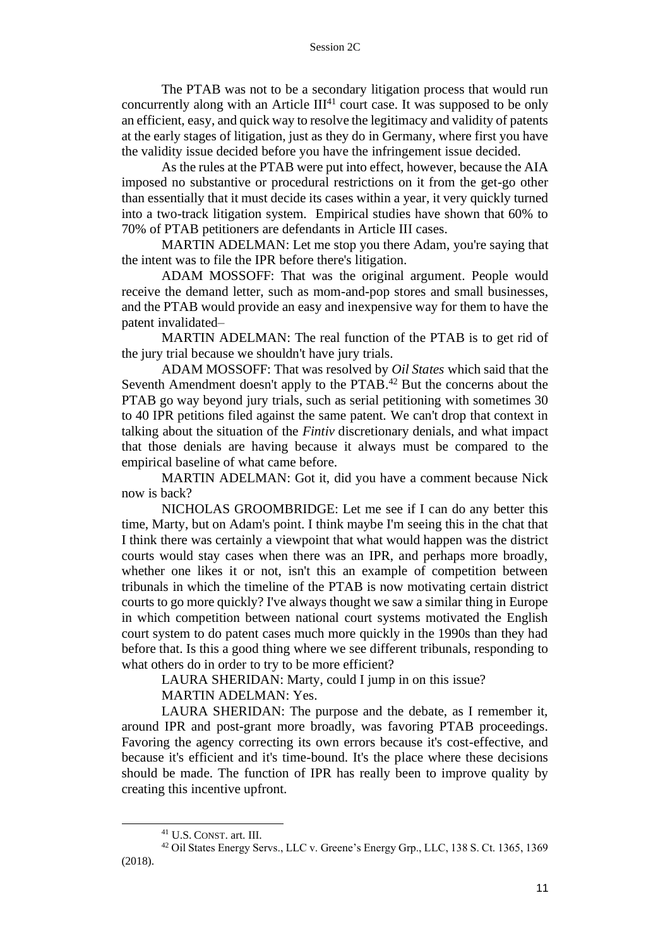The PTAB was not to be a secondary litigation process that would run concurrently along with an Article  $III<sup>41</sup>$  court case. It was supposed to be only an efficient, easy, and quick way to resolve the legitimacy and validity of patents at the early stages of litigation, just as they do in Germany, where first you have the validity issue decided before you have the infringement issue decided.

As the rules at the PTAB were put into effect, however, because the AIA imposed no substantive or procedural restrictions on it from the get-go other than essentially that it must decide its cases within a year, it very quickly turned into a two-track litigation system. Empirical studies have shown that 60% to 70% of PTAB petitioners are defendants in Article III cases.

MARTIN ADELMAN: Let me stop you there Adam, you're saying that the intent was to file the IPR before there's litigation.

ADAM MOSSOFF: That was the original argument. People would receive the demand letter, such as mom-and-pop stores and small businesses, and the PTAB would provide an easy and inexpensive way for them to have the patent invalidated–

MARTIN ADELMAN: The real function of the PTAB is to get rid of the jury trial because we shouldn't have jury trials.

ADAM MOSSOFF: That was resolved by *Oil States* which said that the Seventh Amendment doesn't apply to the PTAB.<sup>42</sup> But the concerns about the PTAB go way beyond jury trials, such as serial petitioning with sometimes 30 to 40 IPR petitions filed against the same patent. We can't drop that context in talking about the situation of the *Fintiv* discretionary denials, and what impact that those denials are having because it always must be compared to the empirical baseline of what came before.

MARTIN ADELMAN: Got it, did you have a comment because Nick now is back?

NICHOLAS GROOMBRIDGE: Let me see if I can do any better this time, Marty, but on Adam's point. I think maybe I'm seeing this in the chat that I think there was certainly a viewpoint that what would happen was the district courts would stay cases when there was an IPR, and perhaps more broadly, whether one likes it or not, isn't this an example of competition between tribunals in which the timeline of the PTAB is now motivating certain district courts to go more quickly? I've always thought we saw a similar thing in Europe in which competition between national court systems motivated the English court system to do patent cases much more quickly in the 1990s than they had before that. Is this a good thing where we see different tribunals, responding to what others do in order to try to be more efficient?

LAURA SHERIDAN: Marty, could I jump in on this issue?

MARTIN ADELMAN: Yes.

LAURA SHERIDAN: The purpose and the debate, as I remember it, around IPR and post-grant more broadly, was favoring PTAB proceedings. Favoring the agency correcting its own errors because it's cost-effective, and because it's efficient and it's time-bound. It's the place where these decisions should be made. The function of IPR has really been to improve quality by creating this incentive upfront.

<sup>41</sup> U.S. CONST. art. III.

<sup>42</sup> Oil States Energy Servs., LLC v. Greene's Energy Grp., LLC, 138 S. Ct. 1365, 1369 (2018).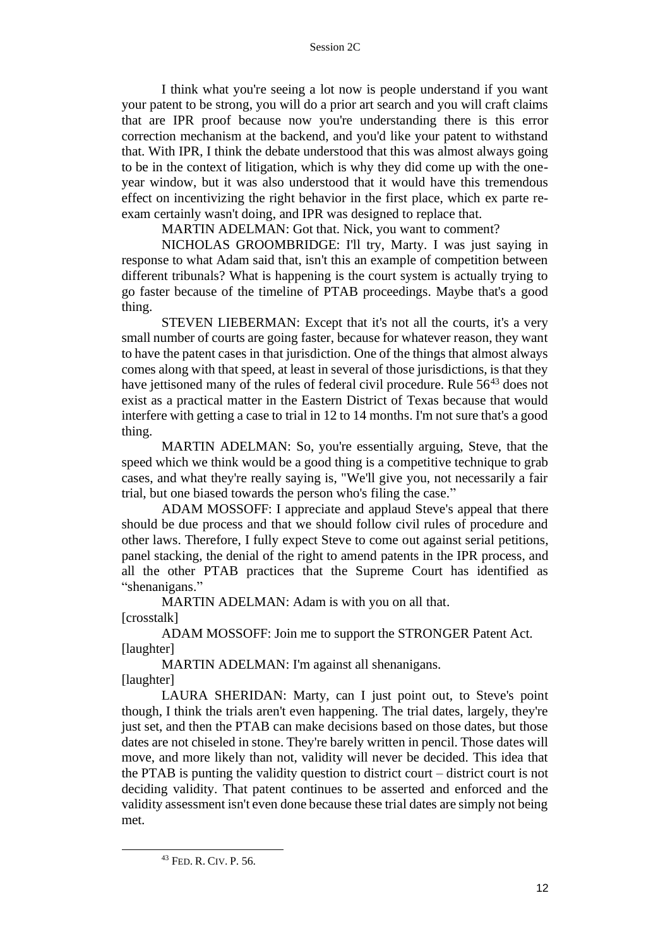I think what you're seeing a lot now is people understand if you want your patent to be strong, you will do a prior art search and you will craft claims that are IPR proof because now you're understanding there is this error correction mechanism at the backend, and you'd like your patent to withstand that. With IPR, I think the debate understood that this was almost always going to be in the context of litigation, which is why they did come up with the oneyear window, but it was also understood that it would have this tremendous effect on incentivizing the right behavior in the first place, which ex parte reexam certainly wasn't doing, and IPR was designed to replace that.

MARTIN ADELMAN: Got that. Nick, you want to comment?

NICHOLAS GROOMBRIDGE: I'll try, Marty. I was just saying in response to what Adam said that, isn't this an example of competition between different tribunals? What is happening is the court system is actually trying to go faster because of the timeline of PTAB proceedings. Maybe that's a good thing.

STEVEN LIEBERMAN: Except that it's not all the courts, it's a very small number of courts are going faster, because for whatever reason, they want to have the patent cases in that jurisdiction. One of the things that almost always comes along with that speed, at least in several of those jurisdictions, is that they have jettisoned many of the rules of federal civil procedure. Rule 56<sup>43</sup> does not exist as a practical matter in the Eastern District of Texas because that would interfere with getting a case to trial in 12 to 14 months. I'm not sure that's a good thing.

MARTIN ADELMAN: So, you're essentially arguing, Steve, that the speed which we think would be a good thing is a competitive technique to grab cases, and what they're really saying is, "We'll give you, not necessarily a fair trial, but one biased towards the person who's filing the case."

ADAM MOSSOFF: I appreciate and applaud Steve's appeal that there should be due process and that we should follow civil rules of procedure and other laws. Therefore, I fully expect Steve to come out against serial petitions, panel stacking, the denial of the right to amend patents in the IPR process, and all the other PTAB practices that the Supreme Court has identified as "shenanigans."

MARTIN ADELMAN: Adam is with you on all that. [crosstalk]

ADAM MOSSOFF: Join me to support the STRONGER Patent Act. [laughter]

MARTIN ADELMAN: I'm against all shenanigans. [laughter]

LAURA SHERIDAN: Marty, can I just point out, to Steve's point though, I think the trials aren't even happening. The trial dates, largely, they're just set, and then the PTAB can make decisions based on those dates, but those dates are not chiseled in stone. They're barely written in pencil. Those dates will move, and more likely than not, validity will never be decided. This idea that the PTAB is punting the validity question to district court – district court is not deciding validity. That patent continues to be asserted and enforced and the validity assessment isn't even done because these trial dates are simply not being met.

<sup>43</sup> FED. R. CIV.P. 56.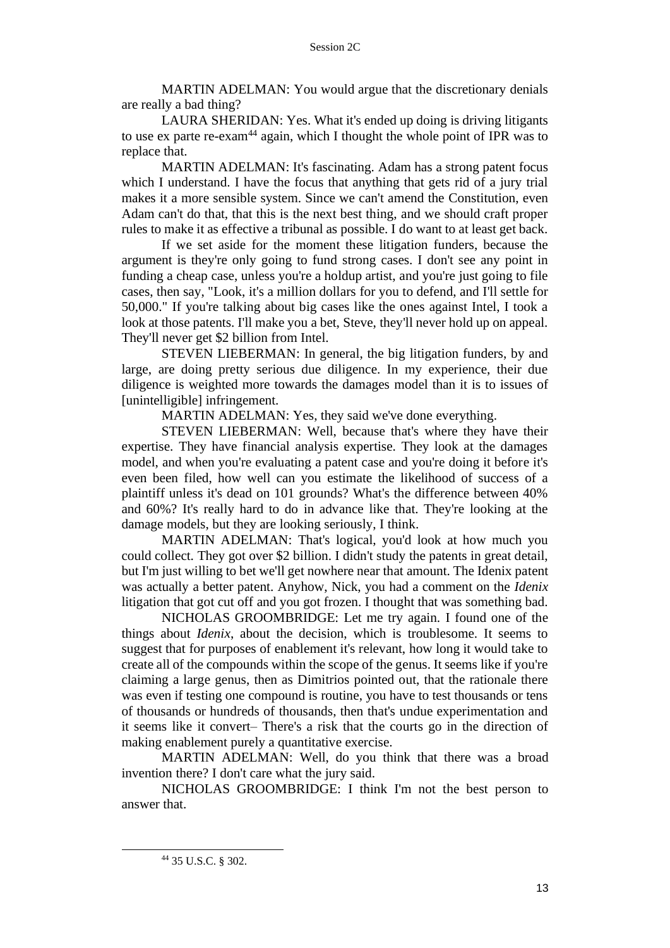MARTIN ADELMAN: You would argue that the discretionary denials are really a bad thing?

LAURA SHERIDAN: Yes. What it's ended up doing is driving litigants to use ex parte re-exam<sup>44</sup> again, which I thought the whole point of IPR was to replace that.

MARTIN ADELMAN: It's fascinating. Adam has a strong patent focus which I understand. I have the focus that anything that gets rid of a jury trial makes it a more sensible system. Since we can't amend the Constitution, even Adam can't do that, that this is the next best thing, and we should craft proper rules to make it as effective a tribunal as possible. I do want to at least get back.

If we set aside for the moment these litigation funders, because the argument is they're only going to fund strong cases. I don't see any point in funding a cheap case, unless you're a holdup artist, and you're just going to file cases, then say, "Look, it's a million dollars for you to defend, and I'll settle for 50,000." If you're talking about big cases like the ones against Intel, I took a look at those patents. I'll make you a bet, Steve, they'll never hold up on appeal. They'll never get \$2 billion from Intel.

STEVEN LIEBERMAN: In general, the big litigation funders, by and large, are doing pretty serious due diligence. In my experience, their due diligence is weighted more towards the damages model than it is to issues of [unintelligible] infringement.

MARTIN ADELMAN: Yes, they said we've done everything.

STEVEN LIEBERMAN: Well, because that's where they have their expertise. They have financial analysis expertise. They look at the damages model, and when you're evaluating a patent case and you're doing it before it's even been filed, how well can you estimate the likelihood of success of a plaintiff unless it's dead on 101 grounds? What's the difference between 40% and 60%? It's really hard to do in advance like that. They're looking at the damage models, but they are looking seriously, I think.

MARTIN ADELMAN: That's logical, you'd look at how much you could collect. They got over \$2 billion. I didn't study the patents in great detail, but I'm just willing to bet we'll get nowhere near that amount. The Idenix patent was actually a better patent. Anyhow, Nick, you had a comment on the *Idenix* litigation that got cut off and you got frozen. I thought that was something bad.

NICHOLAS GROOMBRIDGE: Let me try again. I found one of the things about *Idenix*, about the decision, which is troublesome. It seems to suggest that for purposes of enablement it's relevant, how long it would take to create all of the compounds within the scope of the genus. It seems like if you're claiming a large genus, then as Dimitrios pointed out, that the rationale there was even if testing one compound is routine, you have to test thousands or tens of thousands or hundreds of thousands, then that's undue experimentation and it seems like it convert– There's a risk that the courts go in the direction of making enablement purely a quantitative exercise.

MARTIN ADELMAN: Well, do you think that there was a broad invention there? I don't care what the jury said.

NICHOLAS GROOMBRIDGE: I think I'm not the best person to answer that.

<sup>44</sup> 35 U.S.C. § 302.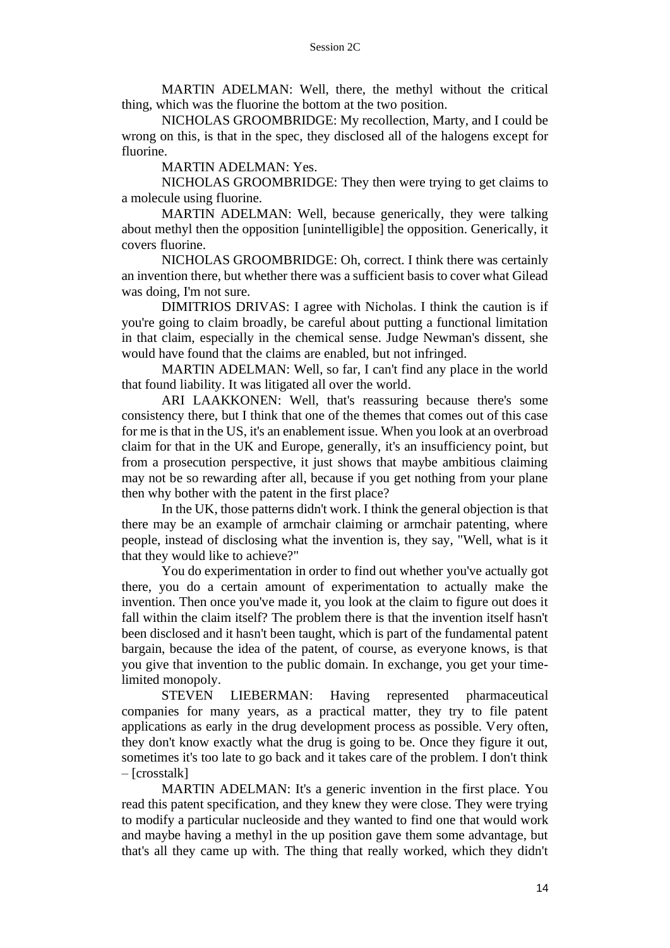MARTIN ADELMAN: Well, there, the methyl without the critical thing, which was the fluorine the bottom at the two position.

NICHOLAS GROOMBRIDGE: My recollection, Marty, and I could be wrong on this, is that in the spec, they disclosed all of the halogens except for fluorine.

MARTIN ADELMAN: Yes.

NICHOLAS GROOMBRIDGE: They then were trying to get claims to a molecule using fluorine.

MARTIN ADELMAN: Well, because generically, they were talking about methyl then the opposition [unintelligible] the opposition. Generically, it covers fluorine.

NICHOLAS GROOMBRIDGE: Oh, correct. I think there was certainly an invention there, but whether there was a sufficient basis to cover what Gilead was doing, I'm not sure.

DIMITRIOS DRIVAS: I agree with Nicholas. I think the caution is if you're going to claim broadly, be careful about putting a functional limitation in that claim, especially in the chemical sense. Judge Newman's dissent, she would have found that the claims are enabled, but not infringed.

MARTIN ADELMAN: Well, so far, I can't find any place in the world that found liability. It was litigated all over the world.

ARI LAAKKONEN: Well, that's reassuring because there's some consistency there, but I think that one of the themes that comes out of this case for me is that in the US, it's an enablement issue. When you look at an overbroad claim for that in the UK and Europe, generally, it's an insufficiency point, but from a prosecution perspective, it just shows that maybe ambitious claiming may not be so rewarding after all, because if you get nothing from your plane then why bother with the patent in the first place?

In the UK, those patterns didn't work. I think the general objection is that there may be an example of armchair claiming or armchair patenting, where people, instead of disclosing what the invention is, they say, "Well, what is it that they would like to achieve?"

You do experimentation in order to find out whether you've actually got there, you do a certain amount of experimentation to actually make the invention. Then once you've made it, you look at the claim to figure out does it fall within the claim itself? The problem there is that the invention itself hasn't been disclosed and it hasn't been taught, which is part of the fundamental patent bargain, because the idea of the patent, of course, as everyone knows, is that you give that invention to the public domain. In exchange, you get your timelimited monopoly.

STEVEN LIEBERMAN: Having represented pharmaceutical companies for many years, as a practical matter, they try to file patent applications as early in the drug development process as possible. Very often, they don't know exactly what the drug is going to be. Once they figure it out, sometimes it's too late to go back and it takes care of the problem. I don't think – [crosstalk]

MARTIN ADELMAN: It's a generic invention in the first place. You read this patent specification, and they knew they were close. They were trying to modify a particular nucleoside and they wanted to find one that would work and maybe having a methyl in the up position gave them some advantage, but that's all they came up with. The thing that really worked, which they didn't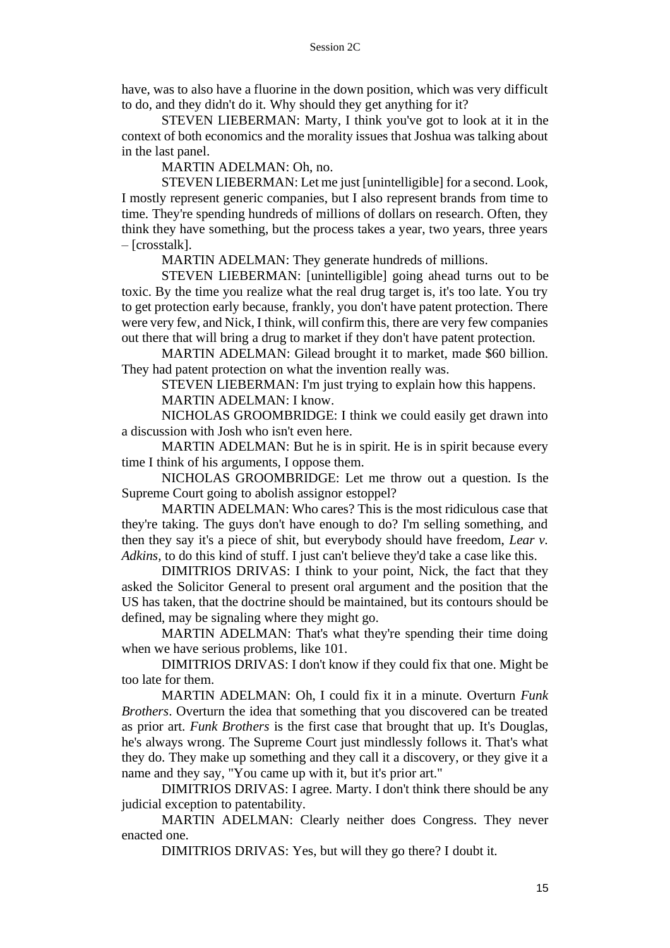have, was to also have a fluorine in the down position, which was very difficult to do, and they didn't do it. Why should they get anything for it?

STEVEN LIEBERMAN: Marty, I think you've got to look at it in the context of both economics and the morality issues that Joshua was talking about in the last panel.

MARTIN ADELMAN: Oh, no.

STEVEN LIEBERMAN: Let me just [unintelligible] for a second. Look, I mostly represent generic companies, but I also represent brands from time to time. They're spending hundreds of millions of dollars on research. Often, they think they have something, but the process takes a year, two years, three years – [crosstalk].

MARTIN ADELMAN: They generate hundreds of millions.

STEVEN LIEBERMAN: [unintelligible] going ahead turns out to be toxic. By the time you realize what the real drug target is, it's too late. You try to get protection early because, frankly, you don't have patent protection. There were very few, and Nick, I think, will confirm this, there are very few companies out there that will bring a drug to market if they don't have patent protection.

MARTIN ADELMAN: Gilead brought it to market, made \$60 billion. They had patent protection on what the invention really was.

STEVEN LIEBERMAN: I'm just trying to explain how this happens.

MARTIN ADELMAN: I know.

NICHOLAS GROOMBRIDGE: I think we could easily get drawn into a discussion with Josh who isn't even here.

MARTIN ADELMAN: But he is in spirit. He is in spirit because every time I think of his arguments, I oppose them.

NICHOLAS GROOMBRIDGE: Let me throw out a question. Is the Supreme Court going to abolish assignor estoppel?

MARTIN ADELMAN: Who cares? This is the most ridiculous case that they're taking. The guys don't have enough to do? I'm selling something, and then they say it's a piece of shit, but everybody should have freedom, *Lear v. Adkins,* to do this kind of stuff. I just can't believe they'd take a case like this.

DIMITRIOS DRIVAS: I think to your point, Nick, the fact that they asked the Solicitor General to present oral argument and the position that the US has taken, that the doctrine should be maintained, but its contours should be defined, may be signaling where they might go.

MARTIN ADELMAN: That's what they're spending their time doing when we have serious problems, like 101.

DIMITRIOS DRIVAS: I don't know if they could fix that one. Might be too late for them.

MARTIN ADELMAN: Oh, I could fix it in a minute. Overturn *Funk Brothers*. Overturn the idea that something that you discovered can be treated as prior art. *Funk Brothers* is the first case that brought that up. It's Douglas, he's always wrong. The Supreme Court just mindlessly follows it. That's what they do. They make up something and they call it a discovery, or they give it a name and they say, "You came up with it, but it's prior art."

DIMITRIOS DRIVAS: I agree. Marty. I don't think there should be any judicial exception to patentability.

MARTIN ADELMAN: Clearly neither does Congress. They never enacted one.

DIMITRIOS DRIVAS: Yes, but will they go there? I doubt it.